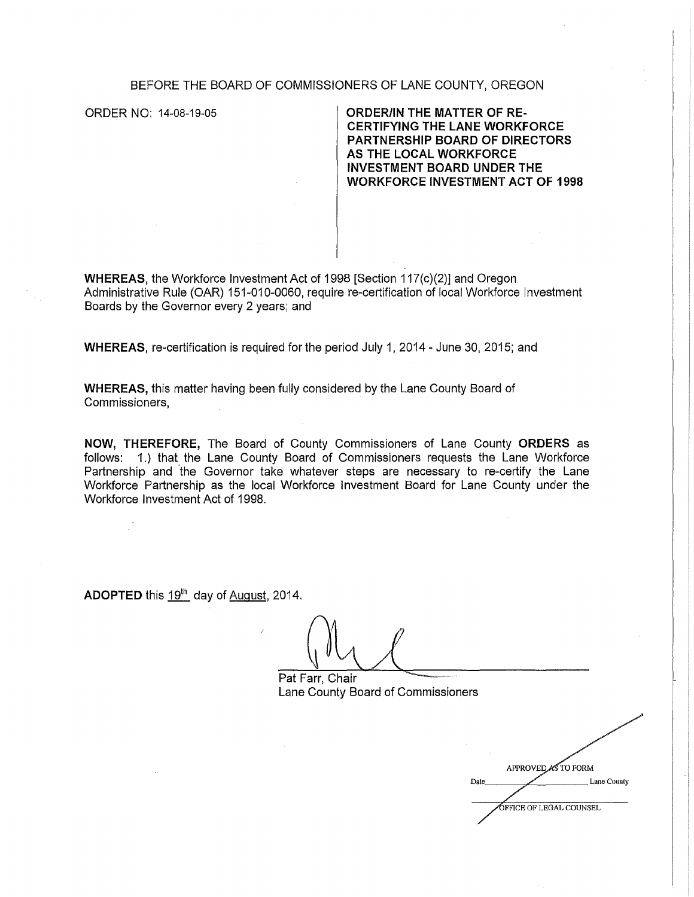## BEFORE THE BOARD OF COMMISSIONERS OF LANE COUNTY, OREGON

ORDER NO: 14-08-19-05 **ORDER/IN THE MATTER OF RE-CERTIFYING THE LANE WORKFORCE PARTNERSHIP BOARD OF DIRECTORS AS THE LOCAL WORKFORCE INVESTMENT BOARD UNDER THE WORKFORCE INVESTMENT ACT OF 1998** 

**WHEREAS,** the Workforce Investment Act of 1998 [Section 117(c)(2)] and Oregon Administrative Rule (OAR) 151-010-0060, require re-certification of local Workforce Investment Boards by the Governor every 2 years; and

**WHEREAS,** re-certification is required for the period July 1, 2014 - June 30, 2015; and

**WHEREAS,** this matter having been fully considered by the Lane County Board of Commissioners,

**NOW, THEREFORE,** The Board of County Commissioners of Lane County **ORDERS** as follows: 1.) that the Lane County Board of Commissioners requests the Lane Workforce Partnership and 'the Governor take whatever steps are necessary to re-certify the Lane Workforce Partnership as the local Workforce Investment Board for Lane County under the Workforce Investment Act of 1998.

**ADOPTED** this 19<sup>th</sup> day of August, 2014.

Pat Farr, Chair Lane County Board of Commissioners

APPROVED AS TO FORM Lane County Date **OFFICE OF LEGAL COUNSEL**